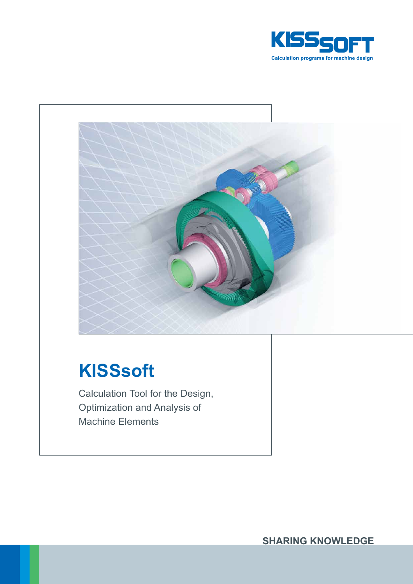



# **KISSsoft**

Calculation Tool for the Design, Optimization and Analysis of Machine Elements

**SHARING KNOWLEDGE**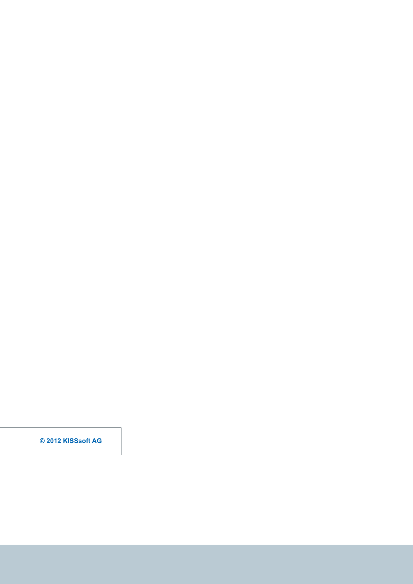**© 2012 KISSsoft AG**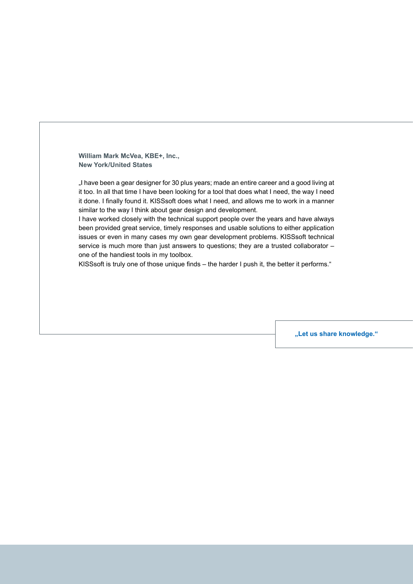**William Mark McVea, KBE+, Inc., New York/United States**

"I have been a gear designer for 30 plus years; made an entire career and a good living at it too. In all that time I have been looking for a tool that does what I need, the way I need it done. I finally found it. KISSsoft does what I need, and allows me to work in a manner similar to the way I think about gear design and development.

I have worked closely with the technical support people over the years and have always been provided great service, timely responses and usable solutions to either application issues or even in many cases my own gear development problems. KISSsoft technical service is much more than just answers to questions; they are a trusted collaborator – one of the handiest tools in my toolbox.

KISSsoft is truly one of those unique finds – the harder I push it, the better it performs."

**"Let us share knowledge."**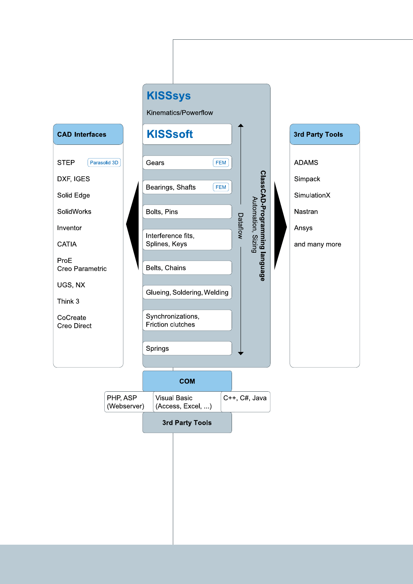

Kinematics/Powerflow

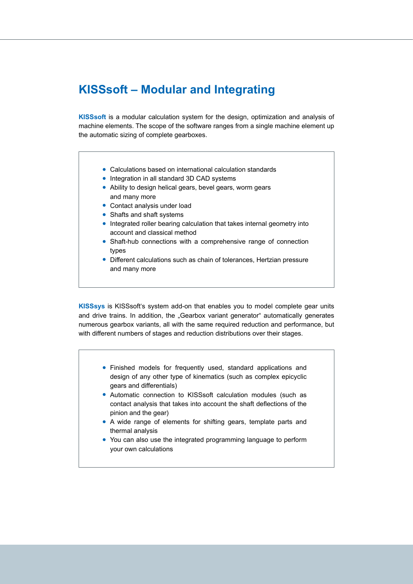### **KISSsoft – Modular and Integrating**

**KISSsoft** is a modular calculation system for the design, optimization and analysis of machine elements. The scope of the software ranges from a single machine element up the automatic sizing of complete gearboxes.

- Calculations based on international calculation standards
- Integration in all standard 3D CAD systems
- Ability to design helical gears, bevel gears, worm gears and many more
- Contact analysis under load
- Shafts and shaft systems
- Integrated roller bearing calculation that takes internal geometry into account and classical method
- Shaft-hub connections with a comprehensive range of connection types
- Different calculations such as chain of tolerances, Hertzian pressure and many more

**KISSsys** is KISSsoft's system add-on that enables you to model complete gear units and drive trains. In addition, the "Gearbox variant generator" automatically generates numerous gearbox variants, all with the same required reduction and performance, but with different numbers of stages and reduction distributions over their stages.

- Finished models for frequently used, standard applications and design of any other type of kinematics (such as complex epicyclic gears and differentials)
- Automatic connection to KISSsoft calculation modules (such as contact analysis that takes into account the shaft deflections of the pinion and the gear)
- A wide range of elements for shifting gears, template parts and thermal analysis
- You can also use the integrated programming language to perform your own calculations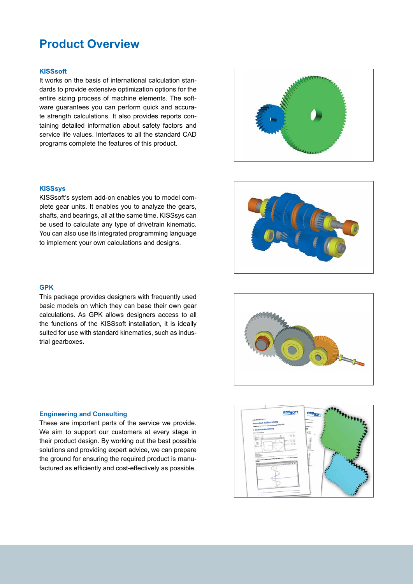### **Product Overview**

#### **KISSsoft**

It works on the basis of international calculation standards to provide extensive optimization options for the entire sizing process of machine elements. The software guarantees you can perform quick and accurate strength calculations. It also provides reports containing detailed information about safety factors and service life values. Interfaces to all the standard CAD programs complete the features of this product.

#### **KISSsys**

KISSsoft's system add-on enables you to model complete gear units. It enables you to analyze the gears, shafts, and bearings, all at the same time. KISSsys can be used to calculate any type of drivetrain kinematic. You can also use its integrated programming language to implement your own calculations and designs.

#### **GPK**

This package provides designers with frequently used basic models on which they can base their own gear calculations. As GPK allows designers access to all the functions of the KISSsoft installation, it is ideally suited for use with standard kinematics, such as industrial gearboxes.

#### **Engineering and Consulting**

These are important parts of the service we provide. We aim to support our customers at every stage in their product design. By working out the best possible solutions and providing expert advice, we can prepare the ground for ensuring the required product is manufactured as efficiently and cost-effectively as possible.







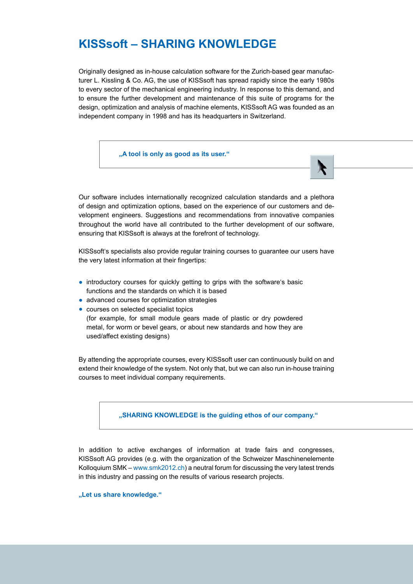# **KISSsoft – SHARING KNOWLEDGE**

Originally designed as in-house calculation software for the Zurich-based gear manufacturer L. Kissling & Co. AG, the use of KISSsoft has spread rapidly since the early 1980s to every sector of the mechanical engineering industry. In response to this demand, and to ensure the further development and maintenance of this suite of programs for the design, optimization and analysis of machine elements, KISSsoft AG was founded as an independent company in 1998 and has its headquarters in Switzerland.

**"A tool is only as good as its user."** 

Our software includes internationally recognized calculation standards and a plethora of design and optimization options, based on the experience of our customers and development engineers. Suggestions and recommendations from innovative companies throughout the world have all contributed to the further development of our software, ensuring that KISSsoft is always at the forefront of technology.

KISSsoft's specialists also provide regular training courses to guarantee our users have the very latest information at their fingertips:

- introductory courses for quickly getting to grips with the software's basic functions and the standards on which it is based
- advanced courses for optimization strategies
- courses on selected specialist topics

(for example, for small module gears made of plastic or dry powdered metal, for worm or bevel gears, or about new standards and how they are used/affect existing designs)

By attending the appropriate courses, every KISSsoft user can continuously build on and extend their knowledge of the system. Not only that, but we can also run in-house training courses to meet individual company requirements.

**"SHARING KNOWLEDGE is the guiding ethos of our company."**

In addition to active exchanges of information at trade fairs and congresses, KISSsoft AG provides (e.g. with the organization of the Schweizer Maschinenelemente Kolloquium SMK – www.smk2012.ch) a neutral forum for discussing the very latest trends in this industry and passing on the results of various research projects.

**"Let us share knowledge."**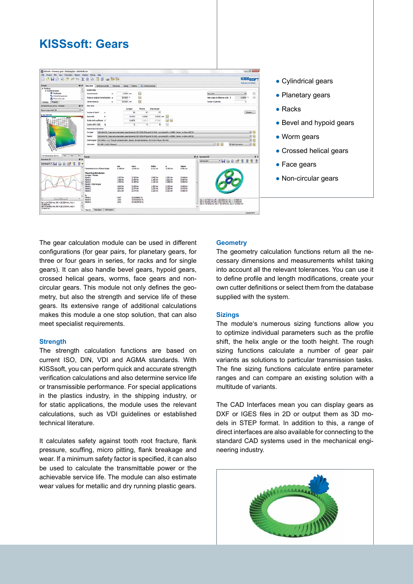#### HOOBLOWSER **KISSen Column HAAM 888 DH&A#88**  $rac{max}{max}$ sigma<br>G.M.L. 2.387 (m)<br>2.455 (m)<br>2.455 (m) 1.3071mm<br>1.3081mm<br>1.319 fax 1.090 Ves<br>1.146 Ves<br>1.114 Ves 1.891199 0.3447cm<br>0.3977cm<br>0.3927cm  $2.005$  hm 1.30210m<br>1.27010m  $2.253 \text{ km}$ <br> $2.265 \text{ km}$ 0.4081er<br>0.4731er 0.897<br>1.003<br>1.001 23.2310562 %<br>33.41125301 %<br>33.56136721 % (81 = 24.7220 nm, df) = 25.2254 nm, Ac) = - 0.6695 m<br>(82 = 25.6591 nm, df) = 25.1725 nm, Ac) = -0.6695 m<br>(81 = - 0.6695 nm, df) = -0.1725 nm, Ac) = -0.6695 m

- Cylindrical gears
- Planetary gears
- $\bullet$  Racks
- Bevel and hypoid gears
- Worm gears
- Crossed helical gears
- Face gears
- Non-circular gears

The gear calculation module can be used in different configurations (for gear pairs, for planetary gears, for three or four gears in series, for racks and for single gears). It can also handle bevel gears, hypoid gears, crossed helical gears, worms, face gears and noncircular gears. This module not only defines the geometry, but also the strength and service life of these gears. Its extensive range of additional calculations makes this module a one stop solution, that can also meet specialist requirements.

**KISSsoft: Gears**

#### **Strength**

The strength calculation functions are based on current ISO, DIN, VDI and AGMA standards. With KISSsoft, you can perform quick and accurate strength verification calculations and also determine service life or transmissible performance. For special applications in the plastics industry, in the shipping industry, or for static applications, the module uses the relevant calculations, such as VDI guidelines or established technical literature.

It calculates safety against tooth root fracture, flank pressure, scuffing, micro pitting, flank breakage and wear. If a minimum safety factor is specified, it can also be used to calculate the transmittable power or the achievable service life. The module can also estimate wear values for metallic and dry running plastic gears.

#### **Geometry**

The geometry calculation functions return all the necessary dimensions and measurements whilst taking into account all the relevant tolerances. You can use it to define profile and length modifications, create your own cutter definitions or select them from the database supplied with the system.

#### **Sizings**

The module's numerous sizing functions allow you to optimize individual parameters such as the profile shift, the helix angle or the tooth height. The rough sizing functions calculate a number of gear pair variants as solutions to particular transmission tasks. The fine sizing functions calculate entire parameter ranges and can compare an existing solution with a multitude of variants.

The CAD Interfaces mean you can display gears as DXF or IGES files in 2D or output them as 3D models in STEP format. In addition to this, a range of direct interfaces are also available for connecting to the standard CAD systems used in the mechanical engineering industry.

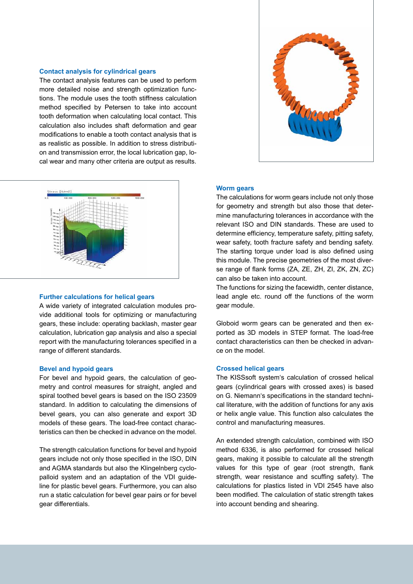#### **Contact analysis for cylindrical gears**

The contact analysis features can be used to perform more detailed noise and strength optimization functions. The module uses the tooth stiffness calculation method specified by Petersen to take into account tooth deformation when calculating local contact. This calculation also includes shaft deformation and gear modifications to enable a tooth contact analysis that is as realistic as possible. In addition to stress distribution and transmission error, the local lubrication gap, local wear and many other criteria are output as results.



#### **Further calculations for helical gears**

A wide variety of integrated calculation modules provide additional tools for optimizing or manufacturing gears, these include: operating backlash, master gear calculation, lubrication gap analysis and also a special report with the manufacturing tolerances specified in a range of different standards.

#### **Bevel and hypoid gears**

For bevel and hypoid gears, the calculation of geometry and control measures for straight, angled and spiral toothed bevel gears is based on the ISO 23509 standard. In addition to calculating the dimensions of bevel gears, you can also generate and export 3D models of these gears. The load-free contact characteristics can then be checked in advance on the model.

The strength calculation functions for bevel and hypoid gears include not only those specified in the ISO, DIN and AGMA standards but also the Klingelnberg cyclopalloid system and an adaptation of the VDI guideline for plastic bevel gears. Furthermore, you can also run a static calculation for bevel gear pairs or for bevel gear differentials.



#### **Worm gears**

The calculations for worm gears include not only those for geometry and strength but also those that determine manufacturing tolerances in accordance with the relevant ISO and DIN standards. These are used to determine efficiency, temperature safety, pitting safety, wear safety, tooth fracture safety and bending safety. The starting torque under load is also defined using this module. The precise geometries of the most diverse range of flank forms (ZA, ZE, ZH, ZI, ZK, ZN, ZC) can also be taken into account.

The functions for sizing the facewidth, center distance, lead angle etc. round off the functions of the worm gear module.

Globoid worm gears can be generated and then exported as 3D models in STEP format. The load-free contact characteristics can then be checked in advance on the model.

#### **Crossed helical gears**

The KISSsoft system's calculation of crossed helical gears (cylindrical gears with crossed axes) is based on G. Niemann's specifications in the standard technical literature, with the addition of functions for any axis or helix angle value. This function also calculates the control and manufacturing measures.

An extended strength calculation, combined with ISO method 6336, is also performed for crossed helical gears, making it possible to calculate all the strength values for this type of gear (root strength, flank strength, wear resistance and scuffing safety). The calculations for plastics listed in VDI 2545 have also been modified. The calculation of static strength takes into account bending and shearing.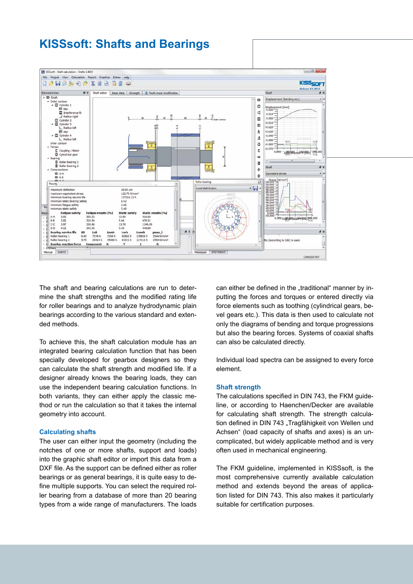### **KISSsoft: Shafts and Bearings**



The shaft and bearing calculations are run to determine the shaft strengths and the modified rating life for roller bearings and to analyze hydrodynamic plain bearings according to the various standard and extended methods.

To achieve this, the shaft calculation module has an integrated bearing calculation function that has been specially developed for gearbox designers so they can calculate the shaft strength and modified life. If a designer already knows the bearing loads, they can use the independent bearing calculation functions. In both variants, they can either apply the classic method or run the calculation so that it takes the internal geometry into account.

#### **Calculating shafts**

The user can either input the geometry (including the notches of one or more shafts, support and loads) into the graphic shaft editor or import this data from a DXF file. As the support can be defined either as roller bearings or as general bearings, it is quite easy to define multiple supports. You can select the required roller bearing from a database of more than 20 bearing types from a wide range of manufacturers. The loads can either be defined in the "traditional" manner by inputting the forces and torques or entered directly via force elements such as toothing (cylindrical gears, bevel gears etc.). This data is then used to calculate not only the diagrams of bending and torque progressions but also the bearing forces. Systems of coaxial shafts can also be calculated directly.

Individual load spectra can be assigned to every force element.

#### **Shaft strength**

The calculations specified in DIN 743, the FKM guideline, or according to Haenchen/Decker are available for calculating shaft strength. The strength calculation defined in DIN 743 "Tragfähigkeit von Wellen und Achsen" (load capacity of shafts and axes) is an uncomplicated, but widely applicable method and is very often used in mechanical engineering.

The FKM guideline, implemented in KISSsoft, is the most comprehensive currently available calculation method and extends beyond the areas of application listed for DIN 743. This also makes it particularly suitable for certification purposes.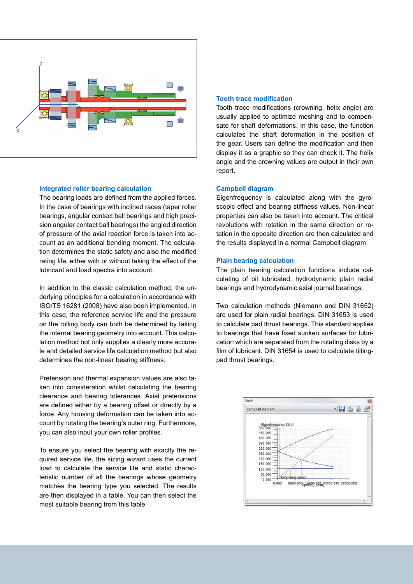

#### **Integrated roller bearing calculation**

The bearing loads are defined from the applied forces. In the case of bearings with inclined races (taper roller bearings, angular contact ball bearings and high precision angular contact ball bearings) the angled direction of pressure of the axial reaction force is taken into account as an additional bending moment. The calculation determines the static safety and also the modified rating life, either with or without taking the effect of the lubricant and load spectra into account.

In addition to the classic calculation method, the underlying principles for a calculation in accordance with ISO/TS 16281 (2008) have also been implemented. In this case, the reference service life and the pressure on the rolling body can both be determined by taking the internal bearing geometry into account. This calculation method not only supplies a clearly more accurate and detailed service life calculation method but also determines the non-linear bearing stiffness.

Pretension and thermal expansion values are also taken into consideration whilst calculating the bearing clearance and bearing tolerances. Axial pretensions are defined either by a bearing offset or directly by a force. Any housing deformation can be taken into account by rotating the bearing's outer ring. Furthermore, you can also input your own roller profiles.

To ensure you select the bearing with exactly the required service life, the sizing wizard uses the current load to calculate the service life and static characteristic number of all the bearings whose geometry matches the bearing type you selected. The results are then displayed in a table. You can then select the most suitable bearing from this table.

#### **Tooth trace modification**

Tooth trace modifications (crowning, helix angle) are usually applied to optimize meshing and to compensate for shaft deformations. In this case, the function calculates the shaft deformation in the position of the gear. Users can define the modification and then display it as a graphic so they can check it. The helix angle and the crowning values are output in their own report.

#### **Campbell diagram**

Eigenfrequency is calculated along with the gyroscopic effect and bearing stiffness values. Non-linear properties can also be taken into account. The critical revolutions with rotation in the same direction or rotation in the opposite direction are then calculated and the results displayed in a normal Campbell diagram.

#### **Plain bearing calculation**

The plain bearing calculation functions include calculating of oil lubricated, hydrodynamic plain radial bearings and hydrodynamic axial journal bearings.

Two calculation methods (Niemann and DIN 31652) are used for plain radial bearings. DIN 31653 is used to calculate pad thrust bearings. This standard applies to bearings that have fixed sunken surfaces for lubrication which are separated from the rotating disks by a film of lubricant. DIN 31654 is used to calculate tiltingpad thrust bearings.

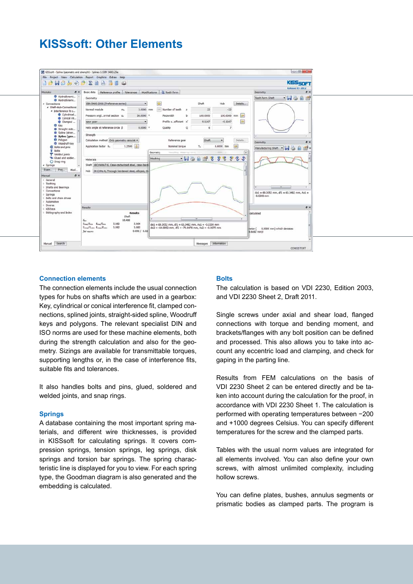## **KISSsoft: Other Elements**



#### **Connection elements**

The connection elements include the usual connection types for hubs on shafts which are used in a gearbox: Key, cylindrical or conical interference fit, clamped connections, splined joints, straight-sided spline, Woodruff keys and polygons. The relevant specialist DIN and ISO norms are used for these machine elements, both during the strength calculation and also for the geometry. Sizings are available for transmittable torques, supporting lengths or, in the case of interference fits, suitable fits and tolerances.

It also handles bolts and pins, glued, soldered and welded joints, and snap rings.

#### **Springs**

A database containing the most important spring materials, and different wire thicknesses, is provided in KISSsoft for calculating springs. It covers compression springs, tension springs, leg springs, disk springs and torsion bar springs. The spring characteristic line is displayed for you to view. For each spring type, the Goodman diagram is also generated and the embedding is calculated.

#### **Bolts**

The calculation is based on VDI 2230, Edition 2003, and VDI 2230 Sheet 2, Draft 2011.

Single screws under axial and shear load, flanged connections with torque and bending moment, and brackets/flanges with any bolt position can be defined and processed. This also allows you to take into account any eccentric load and clamping, and check for gaping in the parting line.

Results from FEM calculations on the basis of VDI 2230 Sheet 2 can be entered directly and be taken into account during the calculation for the proof, in accordance with VDI 2230 Sheet 1. The calculation is performed with operating temperatures between −200 and +1000 degrees Celsius. You can specify different temperatures for the screw and the clamped parts.

Tables with the usual norm values are integrated for all elements involved. You can also define your own screws, with almost unlimited complexity, including hollow screws.

You can define plates, bushes, annulus segments or prismatic bodies as clamped parts. The program is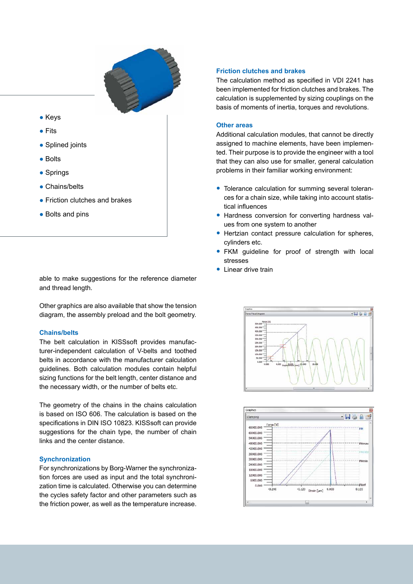

- Keys
- Fits
- Splined joints
- Bolts
- Springs
- Chains/belts
- Friction clutches and brakes
- Bolts and pins

able to make suggestions for the reference diameter and thread length.

Other graphics are also available that show the tension diagram, the assembly preload and the bolt geometry.

#### **Chains/belts**

The belt calculation in KISSsoft provides manufacturer-independent calculation of V-belts and toothed belts in accordance with the manufacturer calculation guidelines. Both calculation modules contain helpful sizing functions for the belt length, center distance and the necessary width, or the number of belts etc.

The geometry of the chains in the chains calculation is based on ISO 606. The calculation is based on the specifications in DIN ISO 10823. KISSsoft can provide suggestions for the chain type, the number of chain links and the center distance.

#### **Synchronization**

For synchronizations by Borg-Warner the synchronization forces are used as input and the total synchronization time is calculated. Otherwise you can determine the cycles safety factor and other parameters such as the friction power, as well as the temperature increase.

#### **Friction clutches and brakes**

The calculation method as specified in VDI 2241 has been implemented for friction clutches and brakes. The calculation is supplemented by sizing couplings on the basis of moments of inertia, torques and revolutions.

#### **Other areas**

Additional calculation modules, that cannot be directly assigned to machine elements, have been implemented. Their purpose is to provide the engineer with a tool that they can also use for smaller, general calculation problems in their familiar working environment:

- Tolerance calculation for summing several tolerances for a chain size, while taking into account statistical influences
- Hardness conversion for converting hardness values from one system to another
- Hertzian contact pressure calculation for spheres, cylinders etc.
- FKM guideline for proof of strength with local stresses
- Linear drive train



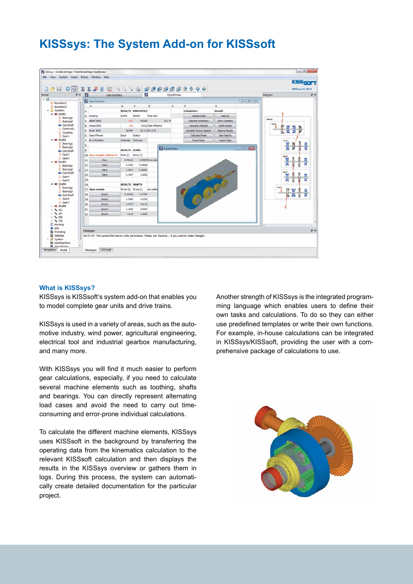# **KISSsys: The System Add-on for KISSsoft**



#### **What is KISSsys?**

KISSsys is KISSsoft's system add-on that enables you to model complete gear units and drive trains.

KISSsys is used in a variety of areas, such as the automotive industry, wind power, agricultural engineering, electrical tool and industrial gearbox manufacturing, and many more.

With KISSsys you will find it much easier to perform gear calculations, especially, if you need to calculate several machine elements such as toothing, shafts and bearings. You can directly represent alternating load cases and avoid the need to carry out timeconsuming and error-prone individual calculations.

To calculate the different machine elements, KISSsys uses KISSsoft in the background by transferring the operating data from the kinematics calculation to the relevant KISSsoft calculation and then displays the results in the KISSsys overview or gathers them in logs. During this process, the system can automatically create detailed documentation for the particular project.

Another strength of KISSsys is the integrated programming language which enables users to define their own tasks and calculations. To do so they can either use predefined templates or write their own functions. For example, in-house calculations can be integrated in KISSsys/KISSsoft, providing the user with a comprehensive package of calculations to use.

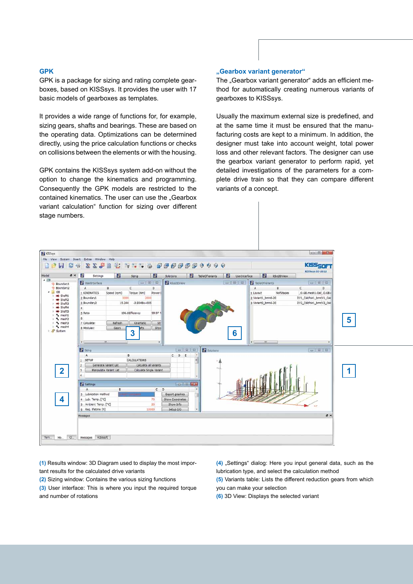#### **GPK**

GPK is a package for sizing and rating complete gearboxes, based on KISSsys. It provides the user with 17 basic models of gearboxes as templates.

It provides a wide range of functions for, for example, sizing gears, shafts and bearings. These are based on the operating data. Optimizations can be determined directly, using the price calculation functions or checks on collisions between the elements or with the housing.

GPK contains the KISSsys system add-on without the option to change the kinematics and programming. Consequently the GPK models are restricted to the contained kinematics. The user can use the "Gearbox variant calculation" function for sizing over different stage numbers.

#### **"Gearbox variant generator"**

The "Gearbox variant generator" adds an efficient method for automatically creating numerous variants of gearboxes to KISSsys.

Usually the maximum external size is predefined, and at the same time it must be ensured that the manufacturing costs are kept to a minimum. In addition, the designer must take into account weight, total power loss and other relevant factors. The designer can use the gearbox variant generator to perform rapid, yet detailed investigations of the parameters for a complete drive train so that they can compare different variants of a concept.



**(1)** Results window: 3D Diagram used to display the most important results for the calculated drive variants

**(2)** Sizing window: Contains the various sizing functions

**(3)** User interface: This is where you input the required torque and number of rotations

**(4)** "Settings" dialog: Here you input general data, such as the lubrication type, and select the calculation method

**(5)** Variants table: Lists the different reduction gears from which you can make your selection

**(6)** 3D View: Displays the selected variant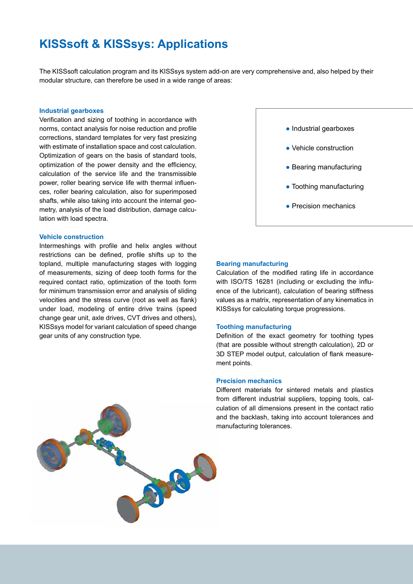# **KISSsoft & KISSsys: Applications**

The KISSsoft calculation program and its KISSsys system add-on are very comprehensive and, also helped by their modular structure, can therefore be used in a wide range of areas:

#### **Industrial gearboxes**

Verification and sizing of toothing in accordance with norms, contact analysis for noise reduction and profile corrections, standard templates for very fast presizing with estimate of installation space and cost calculation. Optimization of gears on the basis of standard tools, optimization of the power density and the efficiency, calculation of the service life and the transmissible power, roller bearing service life with thermal influences, roller bearing calculation, also for superimposed shafts, while also taking into account the internal geometry, analysis of the load distribution, damage calculation with load spectra.

#### **Vehicle construction**

Intermeshings with profile and helix angles without restrictions can be defined, profile shifts up to the topland, multiple manufacturing stages with logging of measurements, sizing of deep tooth forms for the required contact ratio, optimization of the tooth form for minimum transmission error and analysis of sliding velocities and the stress curve (root as well as flank) under load, modeling of entire drive trains (speed change gear unit, axle drives, CVT drives and others), KISSsys model for variant calculation of speed change gear units of any construction type.





#### **Bearing manufacturing**

Calculation of the modified rating life in accordance with ISO/TS 16281 (including or excluding the influence of the lubricant), calculation of bearing stiffness values as a matrix, representation of any kinematics in KISSsys for calculating torque progressions.

#### **Toothing manufacturing**

Definition of the exact geometry for toothing types (that are possible without strength calculation), 2D or 3D STEP model output, calculation of flank measurement points.

#### **Precision mechanics**

Different materials for sintered metals and plastics from different industrial suppliers, topping tools, calculation of all dimensions present in the contact ratio and the backlash, taking into account tolerances and manufacturing tolerances.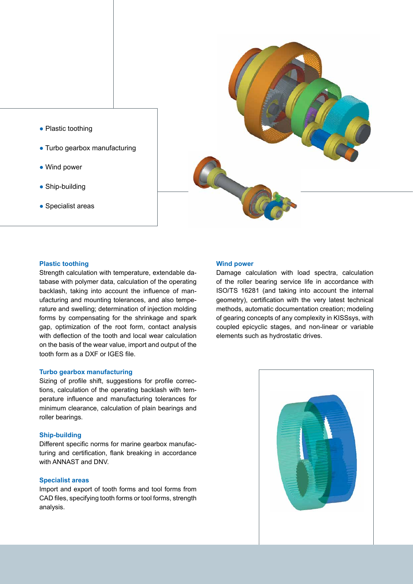- Plastic toothing
- Turbo gearbox manufacturing
- Wind power
- Ship-building
- Specialist areas



#### **Plastic toothing**

Strength calculation with temperature, extendable database with polymer data, calculation of the operating backlash, taking into account the influence of manufacturing and mounting tolerances, and also temperature and swelling; determination of injection molding forms by compensating for the shrinkage and spark gap, optimization of the root form, contact analysis with deflection of the tooth and local wear calculation on the basis of the wear value, import and output of the tooth form as a DXF or IGES file.

#### **Turbo gearbox manufacturing**

Sizing of profile shift, suggestions for profile corrections, calculation of the operating backlash with temperature influence and manufacturing tolerances for minimum clearance, calculation of plain bearings and roller bearings.

#### **Ship-building**

Different specific norms for marine gearbox manufacturing and certification, flank breaking in accordance with ANNAST and DNV.

#### **Specialist areas**

Import and export of tooth forms and tool forms from CAD files, specifying tooth forms or tool forms, strength analysis.

#### **Wind power**

Damage calculation with load spectra, calculation of the roller bearing service life in accordance with ISO/TS 16281 (and taking into account the internal geometry), certification with the very latest technical methods, automatic documentation creation; modeling of gearing concepts of any complexity in KISSsys, with coupled epicyclic stages, and non-linear or variable elements such as hydrostatic drives.

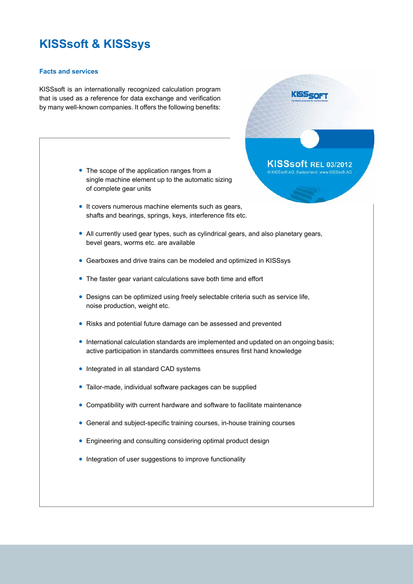# **KISSsoft & KISSsys**

#### **Facts and services**

KISSsoft is an internationally recognized calculation program that is used as a reference for data exchange and verification by many well-known companies. It offers the following benefits:

- The scope of the application ranges from a single machine element up to the automatic sizing of complete gear units
- It covers numerous machine elements such as gears, shafts and bearings, springs, keys, interference fits etc.
- All currently used gear types, such as cylindrical gears, and also planetary gears, bevel gears, worms etc. are available

KISS<sub>SOF</sub>

KISSsoft REL 03/2012 C KISSsoft AG Switzerland www.KISSsoft AG

- Gearboxes and drive trains can be modeled and optimized in KISSsys ●
- The faster gear variant calculations save both time and effort
- Designs can be optimized using freely selectable criteria such as service life, noise production, weight etc.
- Risks and potential future damage can be assessed and prevented
- International calculation standards are implemented and updated on an ongoing basis; active participation in standards committees ensures first hand knowledge
- Integrated in all standard CAD systems
- Tailor-made, individual software packages can be supplied
- Compatibility with current hardware and software to facilitate maintenance
- General and subject-specific training courses, in-house training courses
- Engineering and consulting considering optimal product design
- Integration of user suggestions to improve functionality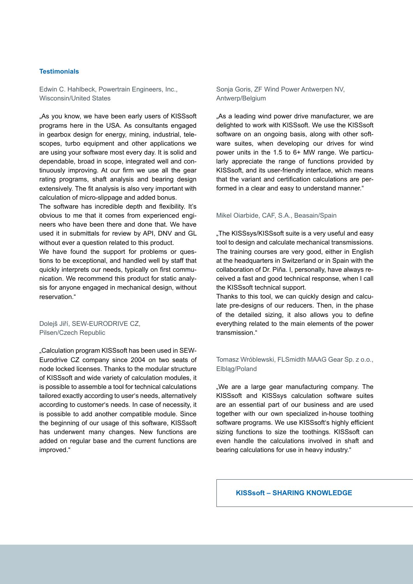#### **Testimonials**

Edwin C. Hahlbeck, Powertrain Engineers, Inc., Wisconsin/United States

"As you know, we have been early users of KISSsoft programs here in the USA. As consultants engaged in gearbox design for energy, mining, industrial, telescopes, turbo equipment and other applications we are using your software most every day. It is solid and dependable, broad in scope, integrated well and continuously improving. At our firm we use all the gear rating programs, shaft analysis and bearing design extensively. The fit analysis is also very important with calculation of micro-slippage and added bonus.

The software has incredible depth and flexibility. It's obvious to me that it comes from experienced engineers who have been there and done that. We have used it in submittals for review by API, DNV and GL without ever a question related to this product.

We have found the support for problems or questions to be exceptional, and handled well by staff that quickly interprets our needs, typically on first communication. We recommend this product for static analysis for anyone engaged in mechanical design, without reservation."

Dolejš Jiří, SEW-EURODRIVE CZ, Pilsen/Czech Republic

"Calculation program KISSsoft has been used in SEW-Eurodrive CZ company since 2004 on two seats of node locked licenses. Thanks to the modular structure of KISSsoft and wide variety of calculation modules, it is possible to assemble a tool for technical calculations tailored exactly according to user's needs, alternatively according to customer's needs. In case of necessity, it is possible to add another compatible module. Since the beginning of our usage of this software, KISSsoft has underwent many changes. New functions are added on regular base and the current functions are improved."

Sonja Goris, ZF Wind Power Antwerpen NV, Antwerp/Belgium

"As a leading wind power drive manufacturer, we are delighted to work with KISSsoft. We use the KISSsoft software on an ongoing basis, along with other software suites, when developing our drives for wind power units in the 1.5 to 6+ MW range. We particularly appreciate the range of functions provided by KISSsoft, and its user-friendly interface, which means that the variant and certification calculations are performed in a clear and easy to understand manner."

#### Mikel Oiarbide, CAF, S.A., Beasain/Spain

. The KISSsys/KISSsoft suite is a very useful and easy tool to design and calculate mechanical transmissions. The training courses are very good, either in English at the headquarters in Switzerland or in Spain with the collaboration of Dr. Piña. I, personally, have always received a fast and good technical response, when I call the KISSsoft technical support.

Thanks to this tool, we can quickly design and calculate pre-designs of our reducers. Then, in the phase of the detailed sizing, it also allows you to define everything related to the main elements of the power transmission."

#### Tomasz Wróblewski, FLSmidth MAAG Gear Sp. z o.o., Elbląg/Poland

"We are a large gear manufacturing company. The KISSsoft and KISSsys calculation software suites are an essential part of our business and are used together with our own specialized in-house toothing software programs. We use KISSsoft's highly efficient sizing functions to size the toothings. KISSsoft can even handle the calculations involved in shaft and bearing calculations for use in heavy industry."

#### **KISSsoft – SHARING KNOWLEDGE**